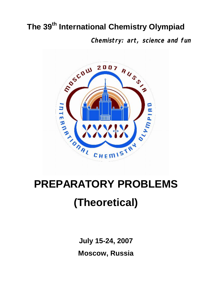# **The 39th International Chemistry Olympiad**

**Chemistry: art, science and fun**



# **(Theoretical)**

**July 15-24, 2007 Moscow, Russia**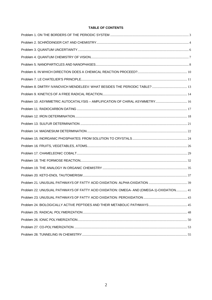#### TABLE OF CONTENTS

| Problem 22. UNUSUAL PATHWAYS OF FATTY ACID OXIDATION: OMEGA- AND (OMEGA-1)-OXIDATION 41 |  |
|-----------------------------------------------------------------------------------------|--|
|                                                                                         |  |
|                                                                                         |  |
|                                                                                         |  |
|                                                                                         |  |
|                                                                                         |  |
|                                                                                         |  |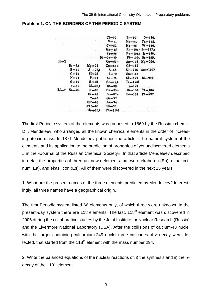#### <span id="page-2-0"></span>**Problem 1. ON THE BORDERS OF THE PERIODIC SYSTEM**



The first Periodic system of the elements was proposed in 1869 by the Russian chemist D.I. Mendeleev, who arranged all the known chemical elements in the order of increasing atomic mass. In 1871 Mendeleev published the article «The natural system of the elements and its application to the prediction of properties of yet undiscovered elements » in the «Journal of the Russian Chemical Society». In that article Mendeleev described in detail the properties of three unknown elements that were ekaboron (Eb), ekaaluminum (Ea), and ekasilicon (Es). All of them were discovered in the next 15 years.

1. What are the present names of the three elements predicted by Mendeleev? Interestingly, all three names have a geographical origin.

The first Periodic system listed 66 elements only, of which three were unknown. In the present-day system there are 118 elements. The last, 118<sup>th</sup> element was discovered in 2005 during the collaborative studies by the Joint Institute for Nuclear Research (Russia) and the Livermore National Laboratory (USA). After the collisions of calcium-48 nuclei with the target containing californium-249 nuclei three cascades of  $\alpha$ -decay were detected, that started from the  $118<sup>th</sup>$  element with the mass number 294.

2. Write the balanced equations of the nuclear reactions of: i) the synthesis and ii) the  $\alpha$ decay of the 118<sup>th</sup> element.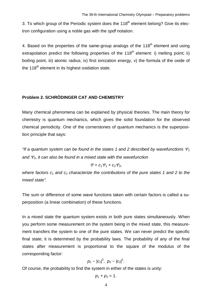3. To which group of the Periodic system does the  $118<sup>th</sup>$  element belong? Give its electron configuration using a noble gas with the *spdf* notation.

4. Based on the properties of the same-group analogs of the  $118<sup>th</sup>$  element and using extrapolation predict the following properties of the  $118<sup>th</sup>$  element: i) melting point: ii) boiling point, iii) atomic radius, iv) first ionization energy, v) the formula of the oxide of the  $118<sup>th</sup>$  element in its highest oxidation state.

#### <span id="page-3-0"></span>**Problem 2. SCHRÖDINGER CAT AND CHEMISTRY**

Many chemical phenomena can be explained by physical theories. The main theory for chemistry is quantum mechanics, which gives the solid foundation for the observed chemical periodicity. One of the cornerstones of quantum mechanics is the superposition principle that says:

*"If a quantum system can be found in the states 1 and 2 described by wavefunctions*  $\mathcal{Y}_1$ *and* <sup>Y</sup>*2, it can also be found in a mixed state with the wavefunction*

$$
\Psi = c_1 \Psi_1 + c_2 \Psi_2,
$$

*where factors c1 and c2 characterize the contributions of the pure states 1 and 2 to the mixed state".*

The sum or difference of some wave functions taken with certain factors is called a superposition (a linear combination) of these functions.

In a mixed state the quantum system exists in both pure states simultaneously. When you perform some measurement on the system being in the mixed state, this measurement transfers the system to one of the pure states. We can never predict the specific final state; it is determined by the probability laws. The probability of any of the final states after measurement is proportional to the square of the modulus of the corresponding factor:

$$
p_1 \sim |c_1|^2, \ p_2 \sim |c_2|^2.
$$

Of course, the probability to find the system in either of the states is unity:

$$
p_1+p_2=1.
$$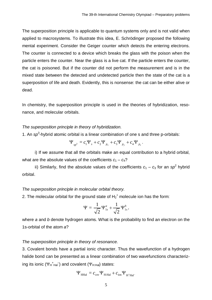The superposition principle is applicable to quantum systems only and is not valid when applied to macrosystems. To illustrate this idea, E. Schrödinger proposed the following mental experiment. Consider the Geiger counter which detects the entering electrons. The counter is connected to a device which breaks the glass with the poison when the particle enters the counter. Near the glass is a live cat. If the particle enters the counter, the cat is poisoned. But if the counter did not perform the measurement and is in the mixed state between the detected and undetected particle then the state of the cat is a superposition of life and death. Evidently, this is nonsense: the cat can be either alive or dead.

In chemistry, the superposition principle is used in the theories of hybridization, resonance, and molecular orbitals.

#### *The superposition principle in theory of hybridization.*

1. An sp<sup>3</sup>-hybrid atomic orbital is a linear combination of one s and three p-orbitals:

$$
\Psi_{sp^3} = c_1 \Psi_s + c_2 \Psi_{p_x} + c_3 \Psi_{p_y} + c_4 \Psi_{p_z}.
$$

i) If we assume that all the orbitals make an equal contribution to a hybrid orbital, what are the absolute values of the coefficients  $c_1 - c_4$ ?

ii) Similarly, find the absolute values of the coefficients  $c_1 - c_3$  for an  $sp^2$  hybrid orbital.

#### *The superposition principle in molecular orbital theory.*

2. The molecular orbital for the ground state of  $H_2^+$  molecule ion has the form:

$$
\Psi = \frac{1}{\sqrt{2}} \Psi_{1s}^a + \frac{1}{\sqrt{2}} \Psi_{1s}^b,
$$

where *a* and *b* denote hydrogen atoms. What is the probability to find an electron on the 1s-orbital of the atom *a*?

#### *The superposition principle in theory of resonance.*

3. Covalent bonds have a partial ionic character. Thus the wavefunction of a hydrogen halide bond can be presented as a linear combination of two wavefunctions characterizing its ionic  $(\Psi_H^+_{Hal}^-)$  and covalent  $(\Psi_{H:Hal})$  states:

$$
\Psi_{\text{HHal}} = c_{\text{cov}} \Psi_{\text{H:Hal}} + c_{\text{ion}} \Psi_{\text{H}^{\dagger} \text{Hal}^{-}}
$$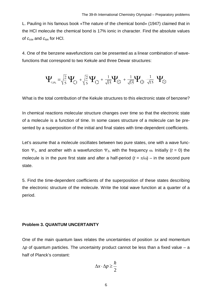L. Pauling in his famous book «The nature of the chemical bond» (1947) claimed that in the HCl molecule the chemical bond is 17% ionic in character. Find the absolute values of *c*cov and *c*ion for HCl.

4. One of the benzene wavefunctions can be presented as a linear combination of wavefunctions that correspond to two Kekule and three Dewar structures:

$$
~~\Psi_{\rm C_4H_6}=\sqrt{\frac{2}{5}}~\Psi_{\rm C}+\sqrt{\frac{2}{5}}~\Psi_{\rm C}+\frac{1}{\sqrt{15}}~\Psi_{\rm C}+\frac{1}{\sqrt{15}}~\Psi_{\rm D}~\frac{1}{\sqrt{15}}~\Psi_{\rm C}
$$

What is the total contribution of the Kekule structures to this electronic state of benzene?

In chemical reactions molecular structure changes over time so that the electronic state of a molecule is a function of time. In some cases structure of a molecule can be presented by a superposition of the initial and final states with time-dependent coefficients.

Let's assume that a molecule oscillates between two pure states, one with a wave function  $\Psi_1$ , and another with a wavefunction  $\Psi_2$ , with the frequency  $\omega$ . Initially (*t* = 0) the molecule is in the pure first state and after a half-period  $(t = \pi/\omega)$  – in the second pure state.

5. Find the time-dependent coefficients of the superposition of these states describing the electronic structure of the molecule. Write the total wave function at a quarter of a period.

#### <span id="page-5-0"></span>**Problem 3. QUANTUM UNCERTAINTY**

One of the main quantum laws relates the uncertainties of position  $\Delta x$  and momentum  $\Delta p$  of quantum particles. The uncertainty product cannot be less than a fixed value – a half of Planck's constant:

$$
\Delta x \cdot \Delta p \ge \frac{\hbar}{2}
$$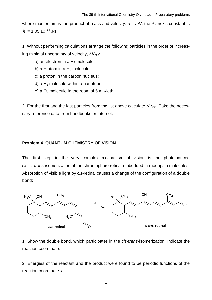where momentum is the product of mass and velocity:  $p = mV$ , the Planck's constant is  $\hbar = 1.05 \cdot 10^{-34}$  J $\cdot$ s.

1. Without performing calculations arrange the following particles in the order of increasing minimal uncertainty of velocity,  $\Delta V_{\text{min}}$ .

- a) an electron in a  $H_2$  molecule;
- b) a H atom in a  $H_2$  molecule;
- c) a proton in the carbon nucleus;
- d) a  $H_2$  molecule within a nanotube;
- e) a  $O<sub>2</sub>$  molecule in the room of 5 m width.

2. For the first and the last particles from the list above calculate  $\Delta V_{\text{min}}$ . Take the necessary reference data from handbooks or Internet.

#### <span id="page-6-0"></span>**Problem 4. QUANTUM CHEMISTRY OF VISION**

The first step in the very complex mechanism of vision is the photoinduced  $cis \rightarrow trans$  isomerization of the chromophore retinal embedded in rhodopsin molecules. Absorption of visible light by *cis*-retinal causes a change of the configuration of a double bond:



1. Show the double bond, which participates in the *cis*-*trans*-isomerization. Indicate the reaction coordinate.

2. Energies of the reactant and the product were found to be periodic functions of the reaction coordinate *x*: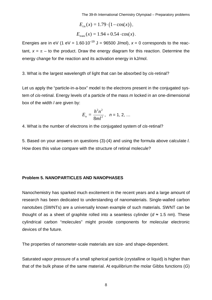The 39-th International Chemistry Olympiad – Preparatory problems

$$
E_{\text{cis}}(x) = 1.79 \cdot (1 - \cos(x)),
$$
  
\n $E_{\text{trans}}(x) = 1.94 + 0.54 \cdot \cos(x).$ 

Energies are in eV (1 eV =  $1.60 \cdot 10^{-19}$  J = 96500 J/mol),  $x = 0$  corresponds to the reactant,  $x = \pi -$  to the product. Draw the energy diagram for this reaction. Determine the energy change for the reaction and its activation energy in kJ/mol.

3. What is the largest wavelength of light that can be absorbed by *cis*-retinal?

Let us apply the "particle-in-a-box" model to the electrons present in the conjugated system of *cis*-retinal. Energy levels of a particle of the mass *m* locked in an one-dimensional box of the width *l* are given by:

$$
E_n = \frac{h^2 n^2}{8m l^2}, \quad n = 1, 2, ...
$$

4. What is the number of electrons in the conjugated system of *cis*-retinal?

5. Based on your answers on questions (3)-(4) and using the formula above calculate *l*. How does this value compare with the structure of retinal molecule?

#### <span id="page-7-0"></span>**Problem 5. NANOPARTICLES AND NANOPHASES**

Nanochemistry has sparked much excitement in the recent years and a large amount of research has been dedicated to understanding of nanomaterials. Single-walled carbon nanotubes (SWNTs) are a universally known example of such materials. SWNT can be thought of as a sheet of graphite rolled into a seamless cylinder ( $d \approx 1.5$  nm). These cylindrical carbon "molecules" might provide components for molecular electronic devices of the future.

The properties of nanometer-scale materials are size- and shape-dependent.

Saturated vapor pressure of a small spherical particle (crystalline or liquid) is higher than that of the bulk phase of the same material. At equilibrium the molar Gibbs functions (*G*)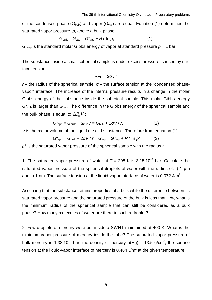of the condensed phase  $(G_{\text{bulk}})$  and vapor  $(G_{\text{van}})$  are equal. Equation (1) determines the saturated vapor pressure, *p*, above a bulk phase

$$
G_{\text{bulk}} = G_{\text{vap}} = G^{\circ}_{\text{vap}} + RT \ln p, \tag{1}
$$

 $G<sup>o</sup>_{\text{vap}}$  is the standard molar Gibbs energy of vapor at standard pressure  $p = 1$  bar.

The substance inside a small spherical sample is under excess pressure, caused by surface tension:

$$
\Delta P_{\text{in}} = 2\sigma / r
$$

 $r$  – the radius of the spherical sample,  $σ$  – the surface tension at the "condensed phasevapor" interface. The increase of the internal pressure results in a change in the molar Gibbs energy of the substance inside the spherical sample. This molar Gibbs energy  $G^*_{sph}$  is larger than  $G_{bulk}$ . The difference in the Gibbs energy of the spherical sample and the bulk phase is equal to  $\Delta P_{\text{in}}V$ :

$$
G^*_{\text{sph}} = G_{\text{bulk}} + \Delta P_{\text{in}} V = G_{\text{bulk}} + 2\sigma V / r, \qquad (2)
$$

*V* is the molar volume of the liquid or solid substance. Therefore from equation (1)

$$
G^*_{\text{sph}} = G_{\text{bulk}} + 2\sigma V / r = G_{\text{vap}} = G^{\circ}_{\text{vap}} + RT \ln p^* \tag{3}
$$

*p*\* is the saturated vapor pressure of the spherical sample with the radius *r*.

1. The saturated vapor pressure of water at  $T = 298$  K is 3.15 $\cdot$ 10<sup>-2</sup> bar. Calculate the saturated vapor pressure of the spherical droplets of water with the radius of: i) 1 µm and ii) 1 nm. The surface tension at the liquid-vapor interface of water is 0.072 J/m<sup>2</sup>.

Assuming that the substance retains properties of a bulk while the difference between its saturated vapor pressure and the saturated pressure of the bulk is less than 1%, what is the minimum radius of the spherical sample that can still be considered as a bulk phase? How many molecules of water are there in such a droplet?

2. Few droplets of mercury were put inside a SWNT maintained at 400 K. What is the minimum vapor pressure of mercury inside the tube? The saturated vapor pressure of bulk mercury is 1.38 $\cdot$ 10<sup>-3</sup> bar, the density of mercury  $p(Hg)$  = 13.5 g/cm<sup>3</sup>, the surface tension at the liquid-vapor interface of mercury is 0.484 J/m<sup>2</sup> at the given temperature.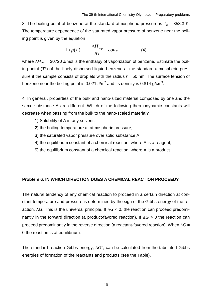3. The boiling point of benzene at the standard atmospheric pressure is  $T_b$  = 353.3 K. The temperature dependence of the saturated vapor pressure of benzene near the boiling point is given by the equation

$$
\ln p(T) = -\frac{\Delta H_{\text{vap}}}{RT} + const \tag{4}
$$

where  $\Delta H_{\text{vap}}$  = 30720 J/mol is the enthalpy of vaporization of benzene. Estimate the boiling point (*T*\*) of the finely dispersed liquid benzene at the standard atmospheric pressure if the sample consists of droplets with the radius  $r = 50$  nm. The surface tension of benzene near the boiling point is 0.021 J/m<sup>2</sup> and its density is 0.814 g/cm<sup>3</sup>.

4. In general, properties of the bulk and nano-sized material composed by one and the same substance A are different. Which of the following thermodynamic constants will decrease when passing from the bulk to the nano-scaled material?

- 1) Solubility of A in any solvent;
- 2) the boiling temperature at atmospheric pressure;
- 3) the saturated vapor pressure over solid substance A;
- 4) the equilibrium constant of a chemical reaction, where A is a reagent;
- 5) the equilibrium constant of a chemical reaction, where A is a product.

#### <span id="page-9-0"></span>**Problem 6. IN WHICH DIRECTION DOES A CHEMICAL REACTION PROCEED?**

The natural tendency of any chemical reaction to proceed in a certain direction at constant temperature and pressure is determined by the sign of the Gibbs energy of the reaction,  $\Delta G$ . This is the universal principle. If  $\Delta G$  < 0, the reaction can proceed predominantly in the forward direction (a product-favored reaction). If  $\Delta G > 0$  the reaction can proceed predominantly in the reverse direction (a reactant-favored reaction). When  $\Delta G =$ 0 the reaction is at equilibrium.

The standard reaction Gibbs energy,  $\Delta G^{\circ}$ , can be calculated from the tabulated Gibbs energies of formation of the reactants and products (see the Table).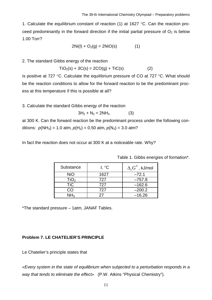1. Calculate the equilibrium constant of reaction (1) at 1627 °C. Can the reaction proceed predominantly in the forward direction if the initial partial pressure of  $O<sub>2</sub>$  is below 1.00 Torr?

$$
2Ni(I) + O_2(g) = 2NiO(s)
$$
 (1)

2. The standard Gibbs energy of the reaction

$$
TiO_2(s) + 3C(s) = 2CO(g) + TiC(s)
$$
 (2)

is positive at 727 °C. Calculate the equilibrium pressure of CO at 727 °C. What should be the reaction conditions to allow for the forward reaction to be the predominant process at this temperature if this is possible at all?

3. Calculate the standard Gibbs energy of the reaction

 $3H_2 + N_2 = 2NH_3$  (3)

at 300 K. Can the forward reaction be the predominant process under the following conditions:  $p(NH_3) = 1.0$  atm,  $p(H_2) = 0.50$  atm,  $p(N_2) = 3.0$  atm?

In fact the reaction does not occur at 300 K at a noticeable rate. Why?

| Substance        | t, $\mathrm{C}$ | $\Delta_{\mathsf{f}}G^{\circ}$ , kJ/mol |
|------------------|-----------------|-----------------------------------------|
| <b>NiO</b>       | 1627            | $-72.1$                                 |
| TiO <sub>2</sub> | 727             | $-757.8$                                |
| <b>TiC</b>       | 727             | $-162.6$                                |
| CO               | 727             | $-200.2$                                |
| NH <sub>3</sub>  | 27              | $-16.26$                                |

Table 1. Gibbs energies of formation\*.

\*The standard pressure – 1atm, JANAF Tables.

#### <span id="page-10-0"></span>**Problem 7. LE CHATELIER'S PRINCIPLE**

Le Chatelier's principle states that

*«Every system in the state of equilibrium when subjected to a perturbation responds in a way that tends to eliminate the effect»* (P.W. Atkins "Physical Chemistry").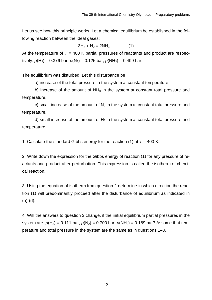Let us see how this principle works. Let a chemical equilibrium be established in the following reaction between the ideal gases:

$$
3H_2 + N_2 = 2NH_3 \tag{1}
$$

At the temperature of  $T = 400$  K partial pressures of reactants and product are respectively:  $p(H_2) = 0.376$  bar,  $p(N_2) = 0.125$  bar,  $p(NH_3) = 0.499$  bar.

The equilibrium was disturbed. Let this disturbance be

a) increase of the total pressure in the system at constant temperature,

b) increase of the amount of  $NH<sub>3</sub>$  in the system at constant total pressure and temperature,

c) small increase of the amount of  $N<sub>2</sub>$  in the system at constant total pressure and temperature,

d) small increase of the amount of  $H_2$  in the system at constant total pressure and temperature.

1. Calculate the standard Gibbs energy for the reaction (1) at *T* = 400 K.

2. Write down the expression for the Gibbs energy of reaction (1) for any pressure of reactants and product after perturbation. This expression is called the isotherm of chemical reaction.

3. Using the equation of isotherm from question 2 determine in which direction the reaction (1) will predominantly proceed after the disturbance of equilibrium as indicated in  $(a)-(d)$ .

4. Will the answers to question 3 change, if the initial equilibrium partial pressures in the system are:  $p(H_2) = 0.111$  bar,  $p(N_2) = 0.700$  bar,  $p(NH_3) = 0.189$  bar? Assume that temperature and total pressure in the system are the same as in questions 1–3.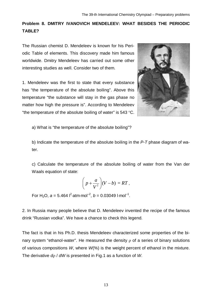# <span id="page-12-0"></span>**Problem 8. DMITRY IVANOVICH MENDELEEV: WHAT BESIDES THE PERIODIC TABLE?**

The Russian chemist D. Mendeleev is known for his Periodic Table of elements. This discovery made him famous worldwide. Dmitry Mendeleev has carried out some other interesting studies as well. Consider two of them.

1. Mendeleev was the first to state that every substance has "the temperature of the absolute boiling". Above this temperature "the substance will stay in the gas phase no matter how high the pressure is". According to Mendeleev "the temperature of the absolute boiling of water" is 543 °C.



a) What is "the temperature of the absolute boiling"?

b) Indicate the temperature of the absolute boiling in the *P*-*T* phase diagram of water.

c) Calculate the temperature of the absolute boiling of water from the Van der Waals equation of state:

$$
\left(p+\frac{a}{V^2}\right)(V-b)=RT,
$$

For H<sub>2</sub>O,  $a = 5.464$   $\text{I}^2\text{-atm·mol}^{-2}$ ,  $b = 0.03049$   $\text{I·mol}^{-1}$ .

2. In Russia many people believe that D. Mendeleev invented the recipe of the famous drink "Russian vodka". We have a chance to check this legend.

The fact is that in his Ph.D. thesis Mendeleev characterized some properties of the binary system "ethanol-water". He measured the density  $\rho$  of a series of binary solutions of various compositions *W*, where *W*(%) is the weight percent of ethanol in the mixture. The derivative *do / dW* is presented in Fig.1 as a function of *W*.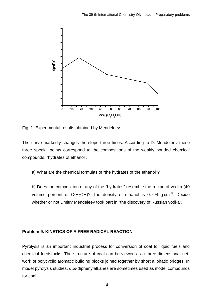

Fig. 1. Experimental results obtained by Mendeleev

The curve markedly changes the slope three times. According to D. Mendeleev these three special points correspond to the compositions of the weakly bonded chemical compounds, "hydrates of ethanol".

a) What are the chemical formulas of "the hydrates of the ethanol"?

b) Does the composition of any of the "hydrates" resemble the recipe of vodka (40 volume percent of  $C_2H_5OH$ ? The density of ethanol is 0.794 g $\cdot$ cm<sup>-3</sup>. Decide whether or not Dmitry Mendeleev took part in "the discovery of Russian vodka".

#### <span id="page-13-0"></span>**Problem 9. KINETICS OF A FREE RADICAL REACTION**

Pyrolysis is an important industrial process for conversion of coal to liquid fuels and chemical feedstocks. The structure of coal can be viewed as a three-dimensional network of polycyclic aromatic building blocks joined together by short aliphatic bridges. In model pyrolysis studies, α,ω-diphenylalkanes are sometimes used as model compounds for coal.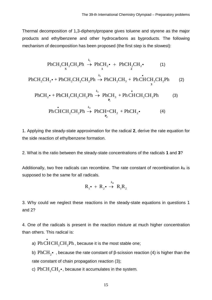Thermal decomposition of 1,3-diphenylpropane gives toluene and styrene as the major products and ethylbenzene and other hydrocarbons as byproducts. The following mechanism of decomposition has been proposed (the first step is the slowest):

$$
\text{PhCH}_{2}CH_{2}CH_{2}Ph \xrightarrow{\,k_{1}\,} \text{PhCH}_{2} \cdot + \text{PhCH}_{2}CH_{2} \cdot \qquad (1)
$$
\n
$$
\text{PhCH}_{2}CH_{2} \cdot + \text{PhCH}_{2}CH_{2}CH_{2}Ph \xrightarrow{\,k_{2}\,} \text{PhCH}_{2}CH_{3} + \text{PhCHCH}_{2}CH_{2}Ph \qquad (2)
$$
\n
$$
\text{PhCH}_{2} \cdot + \text{PhCH}_{2}CH_{2}CH_{2}Ph \xrightarrow{\,k_{3}\,} \text{PhCH}_{3} + \text{PhCHCH}_{2}CH_{2}Ph \qquad (3)
$$
\n
$$
\text{PhCHCH}_{2}CH_{2}Ph \xrightarrow{\,k_{4}\,} \text{PhCH=CH}_{2} + \text{PhCH}_{2} \cdot \qquad (4)
$$

1. Applying the steady-state approximation for the radical **2**, derive the rate equation for the side reaction of ethylbenzene formation.

2. What is the ratio between the steady-state concentrations of the radicals **1** and **3**?

Additionally, two free radicals can recombine. The rate constant of recombination  $k<sub>R</sub>$  is supposed to be the same for all radicals.

$$
R_1^{\bullet} + R_2^{\bullet} \stackrel{k_R}{\rightarrow} R_1 R_2^{\bullet}
$$

3. Why could we neglect these reactions in the steady-state equations in questions 1 and 2?

4. One of the radicals is present in the reaction mixture at much higher concentration than others. This radical is:

a) Ph CH CH<sub>2</sub>CH<sub>2</sub>Ph , because it is the most stable one;

·

b)  $\mathrm{PhCH}_{2} \bullet \,$  , because the rate constant of β-scission reaction (4) is higher than the rate constant of chain propagation reaction (3);

c) PhCH<sub>2</sub>CH<sub>2</sub> $\bullet$ , because it accumulates in the system.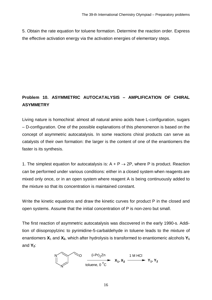5. Obtain the rate equation for toluene formation. Determine the reaction order. Express the effective activation energy via the activation energies of elementary steps.

# <span id="page-15-0"></span>**Problem 10. ASYMMETRIC AUTOCATALYSIS – AMPLIFICATION OF CHIRAL ASYMMETRY**

Living nature is homochiral: almost all natural amino acids have L-configuration, sugars – D-configuration. One of the possible explanations of this phenomenon is based on the concept of asymmetric autocatalysis. In some reactions chiral products can serve as catalysts of their own formation: the larger is the content of one of the enantiomers the faster is its synthesis.

1. The simplest equation for autocatalysis is:  $A + P \rightarrow 2P$ , where P is product. Reaction can be performed under various conditions: either in a closed system when reagents are mixed only once, or in an open system where reagent A is being continuously added to the mixture so that its concentration is maintained constant.

Write the kinetic equations and draw the kinetic curves for product P in the closed and open systems. Assume that the initial concentration of P is non-zero but small.

The first reaction of asymmetric autocatalysis was discovered in the early 1990-s. Addition of diisopropylzinc to pyrimidine-5-carbaldehyde in toluene leads to the mixture of enantiomers  $X_1$  and  $X_2$ , which after hydrolysis is transformed to enantiomeric alcohols  $Y_1$ and  $Y_2$ :

N N O (i-Pr)2Zn toluene, 0 <sup>o</sup> C **X1 , X<sup>2</sup>** 1 M HCl **Y1 , Y2**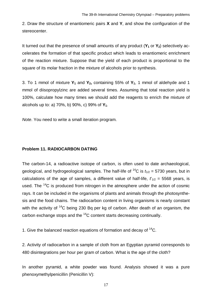2. Draw the structure of enantiomeric pairs **X** and **Y**, and show the configuration of the stereocenter.

It turned out that the presence of small amounts of any product (**Y1** or **Y2**) selectively accelerates the formation of that specific product which leads to enantiomeric enrichment of the reaction mixture. Suppose that the yield of each product is proportional to the square of its molar fraction in the mixture of alcohols prior to synthesis.

3. To 1 mmol of mixture **Y1** and **Y2,** containing 55% of **Y1**, 1 mmol of aldehyde and 1 mmol of diisopropylzinc are added several times. Assuming that total reaction yield is 100%, calculate how many times we should add the reagents to enrich the mixture of alcohols up to: a) 70%, b) 90%, c) 99% of **Y1**.

*Note*. You need to write a small iteration program.

#### <span id="page-16-0"></span>**Problem 11. RADIOCARBON DATING**

The carbon-14, a radioactive isotope of carbon, is often used to date archaeological, geological, and hydrogeological samples. The half-life of  ${}^{14}C$  is  $t_{1/2}$  = 5730 years, but in calculations of the age of samples, a different value of half-life,  $t_{1/2}$  = 5568 years, is used. The  $14$ C is produced from nitrogen in the atmosphere under the action of cosmic rays. It can be included in the organisms of plants and animals through the photosynthesis and the food chains. The radiocarbon content in living organisms is nearly constant with the activity of  $14$ C being 230 Bq per kg of carbon. After death of an organism, the carbon exchange stops and the  ${}^{14}$ C content starts decreasing continually.

1. Give the balanced reaction equations of formation and decay of  $14C$ .

2. Activity of radiocarbon in a sample of cloth from an Egyptian pyramid corresponds to 480 disintegrations per hour per gram of carbon. What is the age of the cloth?

In another pyramid, a white powder was found. Analysis showed it was a pure phenoxymethylpenicillin (Penicillin V):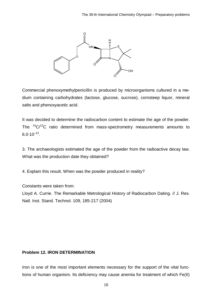

Commercial phenoxymethylpenicillin is produced by microorganisms cultured in a medium containing carbohydrates (lactose, glucose, sucrose), cornsteep liquor, mineral salts and phenoxyacetic acid.

It was decided to determine the radiocarbon content to estimate the age of the powder. The  ${}^{14}C/{}^{12}C$  ratio determined from mass-spectrometry measurements amounts to  $6.0 \cdot 10^{-13}$ .

3. The archaeologists estimated the age of the powder from the radioactive decay law. What was the production date they obtained?

4. Explain this result. When was the powder produced in reality?

Constants were taken from:

Lloyd A. Currie. The Remarkable Metrological History of Radiocarbon Dating. // J. Res. Natl. Inst. Stand. Technol. 109, 185-217 (2004)

#### <span id="page-17-0"></span>**Problem 12. IRON DETERMINATION**

Iron is one of the most important elements necessary for the support of the vital functions of human organism. Its deficiency may cause anemia for treatment of which Fe(II)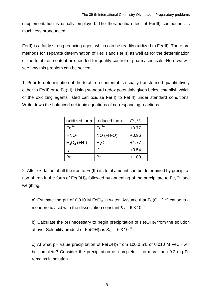supplementation is usually employed. The therapeutic effect of Fe(III) compounds is much less pronounced.

Fe(II) is a fairly strong reducing agent which can be readily oxidized to Fe(III). Therefore methods for separate determination of Fe(II) and Fe(III) as well as for the determination of the total iron content are needed for quality control of pharmaceuticals. Here we will see how this problem can be solved.

1. Prior to determination of the total iron content it is usually transformed quantitatively either to Fe(II) or to Fe(III). Using standard redox potentials given below establish which of the oxidizing agents listed can oxidize Fe(II) to Fe(III) under standard conditions. Write down the balanced net ionic equations of corresponding reactions.

| oxidized form             | reduced form | $E^{\circ}$ , V |
|---------------------------|--------------|-----------------|
| $Fe3+$                    | $Fe2+$       | $+0.77$         |
| HNO <sub>3</sub>          | $NO (+H2O)$  | $+0.96$         |
| $H2O2$ (+H <sup>+</sup> ) | $H_2O$       | $+1.77$         |
| l2                        |              | $+0.54$         |
| Br <sub>2</sub>           |              | $+1.09$         |

2. After oxidation of all the iron to Fe(III) its total amount can be determined by precipitation of iron in the form of Fe(OH)<sub>3</sub> followed by annealing of the precipitate to Fe<sub>2</sub>O<sub>3</sub> and weighing.

a) Estimate the pH of 0.010 M FeCl<sub>3</sub> in water. Assume that Fe(OH<sub>2</sub>)<sub>6</sub><sup>3+</sup> cation is a monoprotic acid with the dissociation constant  $K_a = 6.3 \cdot 10^{-3}$ .

b) Calculate the pH necessary to begin precipitation of  $Fe(OH)<sub>3</sub>$  from the solution above. Solubility product of Fe(OH) $_3$  is  $\mathcal{K}_{\text{\tiny{SP}}}$  = 6.3 10<sup>–38</sup>.

c) At what pH value precipitation of  $Fe(OH)_3$  from 100.0 mL of 0.010 M FeCl<sub>3</sub> will be complete? Consider the precipitation as complete if no more than 0.2 mg Fe remains in solution.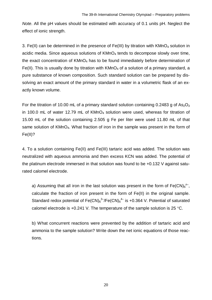*Note*. All the pH values should be estimated with accuracy of 0.1 units pH. Neglect the effect of ionic strength.

3. Fe(II) can be determined in the presence of Fe(III) by titration with  $KMnO<sub>4</sub>$  solution in acidic media. Since aqueous solutions of  $KMnO<sub>4</sub>$  tends to decompose slowly over time, the exact concentration of  $KMnO<sub>4</sub>$  has to be found immediately before determination of Fe(II). This is usually done by titration with  $KMnO<sub>4</sub>$  of a solution of a primary standard, a pure substance of known composition. Such standard solution can be prepared by dissolving an exact amount of the primary standard in water in a volumetric flask of an exactly known volume.

For the titration of 10.00 mL of a primary standard solution containing 0.2483 g of As<sub>2</sub>O<sub>3</sub> in 100.0 mL of water 12.79 mL of  $KMnO<sub>4</sub>$  solution were used, whereas for titration of 15.00 mL of the solution containing 2.505 g Fe per liter were used 11.80 mL of that same solution of KMnO4. What fraction of iron in the sample was present in the form of Fe(II)?

4. To a solution containing Fe(II) and Fe(III) tartaric acid was added. The solution was neutralized with aqueous ammonia and then excess KCN was added. The potential of the platinum electrode immersed in that solution was found to be +0.132 V against saturated calomel electrode.

a) Assuming that all iron in the last solution was present in the form of Fe(CN)<sub>6</sub><sup>n-</sup>, calculate the fraction of iron present in the form of Fe(II) in the original sample. Standard redox potential of  $\mathsf{Fe(CN)_{6}}^{3-}/\mathsf{Fe(CN)_{6}}^{4-}$  is +0.364 V. Potential of saturated calomel electrode is  $+0.241$  V. The temperature of the sample solution is 25 °C.

b) What concurrent reactions were prevented by the addition of tartaric acid and ammonia to the sample solution? Write down the net ionic equations of those reactions.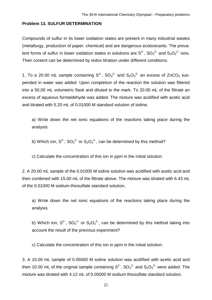#### <span id="page-20-0"></span>**Problem 13. SULFUR DETERMINATION**

Compounds of sulfur in its lower oxidation states are present in many industrial wastes (metallurgy, production of paper, chemical) and are dangerous ecotoxicants. The prevalent forms of sulfur in lower oxidation states in solutions are  $S^{2-}$ ,  $\mathrm{SO_3}^{2-}$  and  $\mathrm{S_2O_3}^{2-}$  ions. Their content can be determined by redox titration under different conditions.

1. To a 20.00 mL sample containing  $S^{2-}$ ,  $SO_3^2$  and  $S_2O_3^2$  an excess of ZnCO<sub>3</sub> suspended in water was added. Upon completion of the reaction the solution was filtered into a 50.00 mL volumetric flask and diluted to the mark. To 20.00 mL of the filtrate an excess of aqueous formaldehyde was added. The mixture was acidified with acetic acid and titrated with 5.20 mL of 0.01000 M standard solution of iodine.

a) Write down the net ionic equations of the reactions taking place during the analysis.

b) Which ion,  $S^{2-}$ ,  $SO_3^2$ <sup>-</sup> or  $S_2O_3^2$ <sup>-</sup>, can be determined by this method?

c) Calculate the concentration of this ion in ppm in the initial solution.

2. A 20.00 mL sample of the 0.01000 M iodine solution was acidified with acetic acid and then combined with 15.00 mL of the filtrate above. The mixture was titrated with 6.43 mL of the 0.01000 M sodium thiosulfate standard solution.

a) Write down the net ionic equations of the reactions taking place during the analysis.

b) Which ion,  $S^{2-}$ , SO<sub>3</sub><sup>2-</sup> or S<sub>2</sub>O<sub>3</sub><sup>2-</sup>, can be determined by this method taking into account the result of the previous experiment?

c) Calculate the concentration of this ion in ppm in the initial solution.

3. A 10.00 mL sample of 0.05000 M iodine solution was acidified with acetic acid and then 10.00 mL of the original sample containing  $S^{2-}$ , SO<sub>3</sub><sup>2-</sup> and S<sub>2</sub>O<sub>3</sub><sup>2-</sup> were added. The mixture was titrated with 4.12 mL of 0.05000 M sodium thiosulfate standard solution.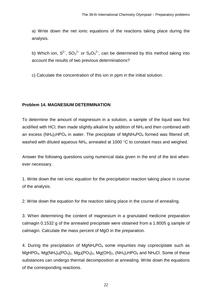a) Write down the net ionic equations of the reactions taking place during the analysis.

b) Which ion,  $S^{2-}$ , SO<sub>3</sub><sup>2-</sup> or S<sub>2</sub>O<sub>3</sub><sup>2-</sup>, can be determined by this method taking into account the results of two previous determinations?

c) Calculate the concentration of this ion in ppm in the initial solution.

#### <span id="page-21-0"></span>**Problem 14. MAGNESIUM DETERMINATION**

To determine the amount of magnesium in a solution, a sample of the liquid was first acidified with HCI, then made slightly alkaline by addition of  $NH<sub>3</sub>$  and then combined with an excess (NH<sub>4</sub>)<sub>2</sub>HPO<sub>4</sub> in water. The precipitate of MgNH<sub>4</sub>PO<sub>4</sub> formed was filtered off, washed with diluted aqueous  $NH<sub>3</sub>$ , annealed at 1000 °C to constant mass and weighed.

Answer the following questions using numerical data given in the end of the text whenever necessary.

1. Write down the net ionic equation for the precipitation reaction taking place in course of the analysis.

2. Write down the equation for the reaction taking place in the course of annealing.

3. When determining the content of magnesium in a granulated medicine preparation calmagin 0.1532 g of the annealed precipitate were obtained from a 1.8005 g sample of calmagin. Calculate the mass percent of MgO in the preparation.

4. During the precipitation of  $MgNH_4PO_4$  some impurities may coprecipitate such as MgHPO<sub>4</sub>, Mg(NH<sub>4</sub>)<sub>4</sub>(PO<sub>4</sub>)<sub>2</sub>, Mg<sub>3</sub>(PO<sub>4</sub>)<sub>2</sub>, Mg(OH)<sub>2</sub>, (NH<sub>4</sub>)<sub>2</sub>HPO<sub>4</sub> and NH<sub>4</sub>Cl. Some of these substances can undergo thermal decomposition at annealing. Write down the equations of the corresponding reactions.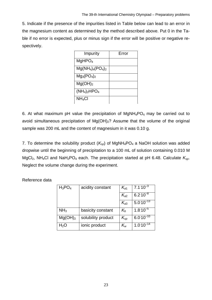5. Indicate if the presence of the impurities listed in Table below can lead to an error in the magnesium content as determined by the method described above. Put 0 in the Table if no error is expected, plus or minus sign if the error will be positive or negative respectively.

| Impurity             | Error |
|----------------------|-------|
| MgHPO <sub>4</sub>   |       |
| $Mg(NH_4)_4(PO_4)_2$ |       |
| $Mg_3(PO_4)_2$       |       |
| Mg(OH) <sub>2</sub>  |       |
| $(NH_4)_2HPO_4$      |       |
| $NH_4Cl$             |       |

6. At what maximum pH value the precipitation of  $MgNH_4PO_4$  may be carried out to avoid simultaneous precipitation of  $Mg(OH)_2$ ? Assume that the volume of the original sample was 200 mL and the content of magnesium in it was 0.10 g.

7. To determine the solubility product  $(K_{\text{SD}})$  of MgNH<sub>4</sub>PO<sub>4</sub> a NaOH solution was added dropwise until the beginning of precipitation to a 100 mL of solution containing 0.010 M MgCl<sub>2</sub>, NH<sub>4</sub>Cl and NaH<sub>2</sub>PO<sub>4</sub> each. The precipitation started at pH 6.48. Calculate  $K_{sp}$ . Neglect the volume change during the experiment.

Reference data

| $H_3PO_4$           | acidity constant   | $K_{a1}$                   | $7.1 \cdot 10^{-3}$ |
|---------------------|--------------------|----------------------------|---------------------|
|                     |                    | $K_{a2}$                   | $6.2 \cdot 10^{-8}$ |
|                     |                    | $\mathcal{K}_{a3}$         | $5.0.10^{-13}$      |
| NH <sub>3</sub>     | basicity constant  | $K_b$                      | $1.8 \cdot 10^{-5}$ |
| Mg(OH) <sub>2</sub> | solubility product | $K_{sp}$                   | $6.0.10^{-10}$      |
| $H_2O$              | ionic product      | $\mathcal{K}_{\mathsf{w}}$ | $1.0.10^{-14}$      |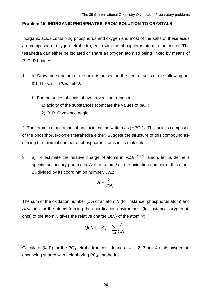#### <span id="page-23-0"></span>**Problem 15. INORGANIC PHOSPHATES: FROM SOLUTION TO CRYSTALS**

Inorganic acids containing phosphorus and oxygen and most of the salts of these acids are composed of oxygen tetrahedra, each with the phosphorus atom in the center. The tetrahedra can either be isolated or share an oxygen atom so being linked by means of P-O-P bridges.

- 1. a) Draw the structure of the anions present in the neutral salts of the following acids:  $H_3PO_4$ ,  $H_3PO_3$ ,  $H_3PO_2$ .
	- b) For the series of acids above, reveal the trends in:
		- 1) acidity of the substances (compare the values of  $pK_{a1}$ ),
		- 2) O-P-O valence angle.

2. The formula of metaphosphoric acid can be written as (HPO<sub>3</sub>)<sub>n</sub>. This acid is composed of the phosphorus-oxygen tetrahedra either. Suggest the structure of this compound assuming the minimal number of phosphorus atoms in its molecule.

3. a) To estimate the relative charge of atoms in  $P_nO_k^{(2k-5n)}$  anion, let us define a special secondary parameter *Ai* of an atom *i* as the oxidation number of this atom, *Zi*, divided by its coordination number, *CNi*,:

$$
A_i = \frac{Z_i}{CN_i}.
$$

The sum of the oxidation number  $(Z_N)$  of an atom N (for instance, phosphorus atom) and *Ai* values for the atoms forming the coordination environment (for instance, oxygen atoms) of the atom *N* gives the relative charge *Q*(*N*) of the atom *N*:

$$
Q(N) = Z_N + \sum_{i=1}^k \frac{Z_i}{CN_i}.
$$

Calculate  $Q_m(P)$  for the PO<sub>4</sub> tetrahedron considering  $m = 1, 2, 3$  and 4 of its oxygen atoms being shared with neighboring PO4-tetrahedra.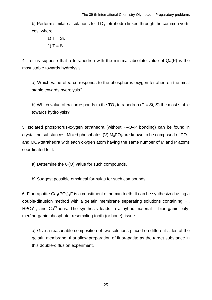b) Perform similar calculations for  $TO<sub>4</sub>$ -tetrahedra linked through the common vertices, where

1) 
$$
T = Si
$$
,  
2)  $T = S$ .

4. Let us suppose that a tetrahedron with the minimal absolute value of *Qm*(P) is the most stable towards hydrolysis.

a) Which value of *m* corresponds to the phosphorus-oxygen tetrahedron the most stable towards hydrolysis?

b) Which value of *m* corresponds to the  $TO_4$  tetrahedron (T = Si, S) the most stable towards hydrolysis?

5. Isolated phosphorus-oxygen tetrahedra (without P-O-P bonding) can be found in crystalline substances. Mixed phosphates (V) M<sub>a</sub>PO<sub>b</sub> are known to be composed of PO<sub>4</sub>and MO4-tetrahedra with each oxygen atom having the same number of M and P atoms coordinated to it.

a) Determine the *Q*(O) value for such compounds.

b) Suggest possible empirical formulas for such compounds.

6. Fluorapatite  $Ca<sub>5</sub>(PO<sub>4</sub>)<sub>3</sub>F$  is a constituent of human teeth. It can be synthesized using a double-diffusion method with a gelatin membrane separating solutions containing F– , HPO $4^{2-}$ , and Ca<sup>2+</sup> ions. The synthesis leads to a hybrid material – bioorganic polymer/inorganic phosphate, resembling tooth (or bone) tissue.

a) Give a reasonable composition of two solutions placed on different sides of the gelatin membrane, that allow preparation of fluorapatite as the target substance in this double-diffusion experiment.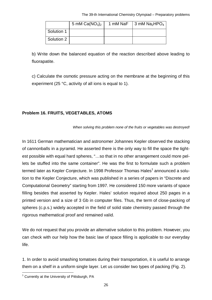The 39-th International Chemistry Olympiad – Preparatory problems

<span id="page-25-1"></span>

|            | 5 mM $Ca(NO3)2$ | 1 mM NaF | $\frac{1}{2}$ 3 mM Na <sub>2</sub> HPO <sub>4</sub> |
|------------|-----------------|----------|-----------------------------------------------------|
| Solution 1 |                 |          |                                                     |
| Solution 2 |                 |          |                                                     |

b) Write down the balanced equation of the reaction described above leading to fluorapatite.

c) Calculate the osmotic pressure acting on the membrane at the beginning of this experiment (25 °C, activity of all ions is equal to 1).

#### <span id="page-25-0"></span>**Problem 16. FRUITS, VEGETABLES, ATOMS**

*When solving this problem none of the fruits or vegetables was destroyed!*

In 1611 German mathematician and astronomer Johannes Kepler observed the stacking of cannonballs in a pyramid. He asserted there is the only way to fill the space the tightest possible with equal hard spheres, "…so that in no other arrangement could more pellets be stuffed into the same container". He was the first to formulate such a problem termed later as Kepler Conjecture. [In](#page-25-1) 1998 Professor Thomas Hales<sup>1</sup> announced a solution to the Kepler Conjecture, which was published in a series of papers in "Discrete and Computational Geometry" starting from 1997. He considered 150 more variants of space filling besides that asserted by Kepler. Hales' solution required about 250 pages in a printed version and a size of 3 Gb in computer files. Thus, the term of close-packing of spheres (c.p.s.) widely accepted in the field of solid state chemistry passed through the rigorous mathematical proof and remained valid.

We do not request that you provide an alternative solution to this problem. However, you can check with our help how the basic law of space filling is applicable to our everyday life.

1. In order to avoid smashing tomatoes during their transportation, it is useful to arrange them on a shelf in a uniform single layer. Let us consider two types of packing (Fig. 2).

 $1$  Currently at the University of Pittsburgh, PA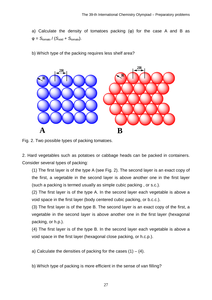a) Calculate the density of tomatoes packing (φ) for the case A and B as  $\Phi = S_{\text{tomato}} / (S_{\text{void}} + S_{\text{tomato}}).$ 

b) Which type of the packing requires less shelf area?



Fig. 2. Two possible types of packing tomatoes.

2. Hard vegetables such as potatoes or cabbage heads can be packed in containers. Consider several types of packing:

(1) The first layer is of the type A (see Fig. 2). The second layer is an exact copy of the first, a vegetable in the second layer is above another one in the first layer (such a packing is termed usually as simple cubic packing , or s.c.).

(2) The first layer is of the type A. In the second layer each vegetable is above a void space in the first layer (body centered cubic packing, or b.c.c.).

(3) The first layer is of the type B. The second layer is an exact copy of the first, a vegetable in the second layer is above another one in the first layer (hexagonal packing, or h.p.).

(4) The first layer is of the type B. In the second layer each vegetable is above a void space in the first layer (hexagonal close packing, or h.c.p.).

a) Calculate the densities of packing for the cases  $(1) - (4)$ .

b) Which type of packing is more efficient in the sense of van filling?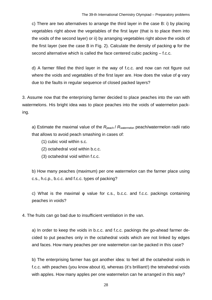c) There are two alternatives to arrange the third layer in the case B: i) by placing vegetables right above the vegetables of the first layer (that is to place them into the voids of the second layer) or ii) by arranging vegetables right above the voids of the first layer (see the case B in Fig. 2). Calculate the density of packing φ for the second alternative which is called the face centered cubic packing – f.c.c.

d) A farmer filled the third layer in the way of f.c.c. and now can not figure out where the voids and vegetables of the first layer are. How does the value of φ vary due to the faults in regular sequence of closed packed layers?

3. Assume now that the enterprising farmer decided to place peaches into the van with watermelons. His bright idea was to place peaches into the voids of watermelon packing.

a) Estimate the maximal value of the R<sub>peach</sub> / R<sub>watermelon</sub> peach/watermelon radii ratio that allows to avoid peach smashing in cases of:

- (1) cubic void within s.c.
- (2) octahedral void within b.c.c.
- (3) octahedral void within f.c.c.

b) How many peaches (maximum) per one watermelon can the farmer place using c.s., h.c.p., b.c.c. and f.c.c. types of packing?

c) What is the maximal φ value for c.s., b.c.c. and f.c.c. packings containing peaches in voids?

4. The fruits can go bad due to insufficient ventilation in the van.

a) In order to keep the voids in b.c.c. and f.c.c. packings the go-ahead farmer decided to put peaches only in the octahedral voids which are not linked by edges and faces. How many peaches per one watermelon can be packed in this case?

b) The enterprising farmer has got another idea: to feel all the octahedral voids in f.c.c. with peaches (you know about it), whereas (it's brilliant!) the tetrahedral voids with apples. How many apples per one watermelon can he arranged in this way?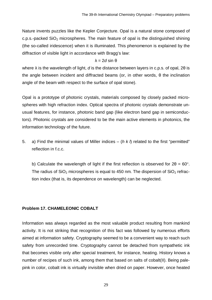Nature invents puzzles like the Kepler Conjecture. Opal is a natural stone composed of c.p.s.-packed  $SiO<sub>2</sub>$  microspheres. The main feature of opal is the distinguished shining (the so-called iridescence) when it is illuminated. This phenomenon is explained by the diffraction of visible light in accordance with Bragg's law:

#### λ = 2*d* sin θ

where λ is the wavelength of light, *d* is the distance between layers in c.p.s. of opal, 2θ is the angle between incident and diffracted beams (or, in other words, θ the inclination angle of the beam with respect to the surface of opal stone).

Opal is a prototype of photonic crystals, materials composed by closely packed microspheres with high refraction index. Optical spectra of photonic crystals demonstrate unusual features, for instance, photonic band gap (like electron band gap in semiconductors). Photonic crystals are considered to be the main active elements in photonics, the information technology of the future.

5. a) Find the minimal values of Miller indices – (*h k l*) related to the first "permitted" reflection in f.c.c.

b) Calculate the wavelength of light if the first reflection is observed for  $2\theta = 60^\circ$ . The radius of  $SiO<sub>2</sub>$  microspheres is equal to 450 nm. The dispersion of  $SiO<sub>2</sub>$  refraction index (that is, its dependence on wavelength) can be neglected.

#### <span id="page-28-0"></span>**Problem 17. CHAMELEONIC COBALT**

Information was always regarded as the most valuable product resulting from mankind activity. It is not striking that recognition of this fact was followed by numerous efforts aimed at information safety. Cryptography seemed to be a convenient way to reach such safety from unrecorded time. Cryptography cannot be detached from sympathetic ink that becomes visible only after special treatment, for instance, heating. History knows a number of recipes of such ink, among them that based on salts of cobalt(II). Being palepink in color, cobalt ink is virtually invisible when dried on paper. However, once heated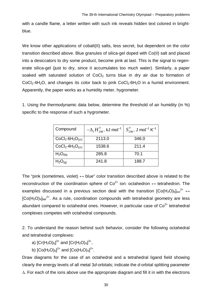with a candle flame, a letter written with such ink reveals hidden text colored in brightblue.

We know other applications of cobalt(II) salts, less secret, but dependent on the color transition described above. Blue granules of silica-gel doped with Co(II) salt and placed into a desiccators to dry some product, become pink at last. This is the signal to regenerate silica-gel (just to dry, since it accumulates too much water). Similarly, a paper soaked with saturated solution of  $CoCl<sub>2</sub>$  turns blue in dry air due to formation of  $CoCl<sub>2</sub>·4H<sub>2</sub>O$ , and changes its color back to pink  $CoCl<sub>2</sub>·6H<sub>2</sub>O$  in a humid environment. Apparently, the paper works as a humidity meter, hygrometer.

1. Using the thermodynamic data below, determine the threshold of air humidity (in %) specific to the response of such a hygrometer.

| Compound                         | $-\Delta_{\rm f} H_{298}^{\circ}$ , kJ mol <sup>-1</sup> | $S_{298}^{\circ}$ , J mol <sup>-1</sup> K <sup>-1</sup> |
|----------------------------------|----------------------------------------------------------|---------------------------------------------------------|
| $CoCl2·6H2O(cr)$                 | 2113.0                                                   | 346.0                                                   |
| $CoCl2·4H2O(cr)$                 | 1538.6                                                   | 211.4                                                   |
| H <sub>2</sub> O <sub>(Iq)</sub> | 285.8                                                    | 70.1                                                    |
| $H_2O_{(q)}$                     | 241.8                                                    | 188.7                                                   |

The "pink (sometimes, violet)  $\leftrightarrow$  blue" color transition described above is related to the reconstruction of the coordination sphere of  $Co^{2+}$  ion: octahedron  $\leftrightarrow$  tetrahedron. The examples discussed in a previous section deal with the transition  $[Co(H<sub>2</sub>O)<sub>6</sub>]<sub>oct</sub><sup>2+</sup> \leftrightarrow$  $[Co(H<sub>2</sub>O)<sub>4]</sub>_{\text{tet}}$ <sup>2+</sup>. As a rule, coordination compounds with tetrahedral geometry are less abundant compared to octahedral ones. However, in particular case of  $Co<sup>2+</sup>$  tetrahedral complexes competes with octahedral compounds.

2. To understand the reason behind such behavior, consider the following octahedral and tetrahedral complexes:

a) [Cr(H<sub>2</sub>O)<sub>6</sub>]<sup>3+</sup> and [Cr(H<sub>2</sub>O)<sub>4</sub>]<sup>3+</sup>,

b)  $[Co(H<sub>2</sub>O)<sub>6</sub>]<sup>2+</sup>$  and  $[Co(H<sub>2</sub>O)<sub>4</sub>]<sup>2+</sup>.$ 

Draw diagrams for the case of an octahedral and a tetrahedral ligand field showing clearly the energy levels of all metal 3*d*-orbitals; indicate the *d*-orbital splitting parameter  $\Delta$ . For each of the ions above use the appropriate diagram and fill it in with the electrons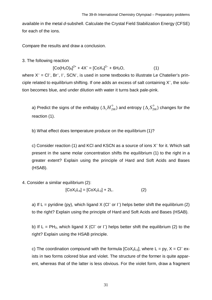available in the metal *d*-subshell. Calculate the Crystal Field Stabilization Energy (CFSE) for each of the ions.

Compare the results and draw a conclusion.

3. The following reaction

$$
[Co(H2O)6]2+ + 4X- = [CoX4]2- + 6H2O,
$$
 (1)

where  $X^-$  = Cl<sup>-</sup>, Br<sup>-</sup>, I<sup>-</sup>, SCN<sup>-</sup>, is used in some textbooks to illustrate Le Chatelier's principle related to equilibrium shifting. If one adds an excess of salt containing  $X^-$ , the solution becomes blue, and under dilution with water it turns back pale-pink.

a) Predict the signs of the enthalpy ( $\Delta^{}_{\rm r} H^{\circ}_{298}$ ) and entropy ( $\Delta^{}_{\rm r} S^{\circ}_{298}$ ) changes for the reaction (1).

b) What effect does temperature produce on the equilibrium (1)?

c) Consider reaction (1) and KCI and KSCN as a source of ions X<sup>-</sup> for it. Which salt present in the same molar concentration shifts the equilibrium (1) to the right in a greater extent? Explain using the principle of Hard and Soft Acids and Bases (HSAB).

#### 4. Consider a similar equilibrium (2):

$$
[CoX2L4] = [CoX2L2] + 2L.
$$
 (2)

a) If L = pyridine (py), which ligand X (CI<sup>-</sup> or I<sup>-</sup>) helps better shift the equilibrium (2) to the right? Explain using the principle of Hard and Soft Acids and Bases (HSAB).

b) If L = PH<sub>3</sub>, which ligand X (CI<sup>-</sup> or I<sup>-</sup>) helps better shift the equilibrium (2) to the right? Explain using the HSAB principle.

c) The coordination compound with the formula  $[CoX<sub>2</sub>L<sub>2</sub>]$ , where L = py, X = Cl<sup>-</sup> exists in two forms colored blue and violet. The structure of the former is quite apparent, whereas that of the latter is less obvious. For the violet form, draw a fragment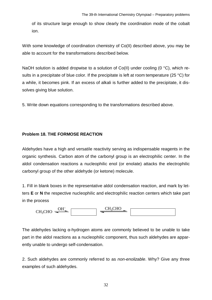of its structure large enough to show clearly the coordination mode of the cobalt ion.

With some knowledge of coordination chemistry of Co(II) described above, you may be able to account for the transformations described below.

NaOH solution is added dropwise to a solution of Co(II) under cooling (0 °C), which results in a precipitate of blue color. If the precipitate is left at room temperature (25 °C) for a while, it becomes pink. If an excess of alkali is further added to the precipitate, it dissolves giving blue solution.

5. Write down equations corresponding to the transformations described above.

#### <span id="page-31-0"></span>**Problem 18. THE FORMOSE REACTION**

Aldehydes have a high and versatile reactivity serving as indispensable reagents in the organic synthesis. Carbon atom of the carbonyl group is an electrophilic center. In the aldol condensation reactions a nucleophilic enol (or enolate) attacks the electrophilic carbonyl group of the other aldehyde (or ketone) molecule.

1. Fill in blank boxes in the representative aldol condensation reaction, and mark by letters **E** or **N** the respective nucleophilic and electrophilic reaction centers which take part in the process



The aldehydes lacking α-hydrogen atoms are commonly believed to be unable to take part in the aldol reactions as a nucleophilic component, thus such aldehydes are apparently unable to undergo self-condensation.

2. Such aldehydes are commonly referred to as *non-enolizable*. Why? Give any three examples of such aldehydes.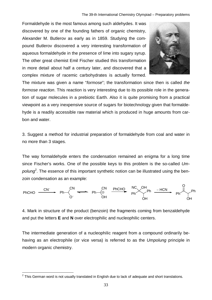Formaldehyde is the most famous among such aldehydes. It was discovered by one of the founding fathers of organic chemistry, Alexander M. Butlerov as early as in 1859. Studying the compound Butlerov discovered a very interesting transformation of aqueous formaldehyde in the presence of lime into sugary syrup. The other great chemist Emil Fischer studied this transformation in more detail about half a century later, and discovered that a complex mixture of racemic carbohydrates is actually formed.



The mixture was given a name "*formose*"; the transformation since then is called *the formose reaction*. This reaction is very interesting due to its possible role in the generation of sugar molecules in a prebiotic Earth. Also it is quite promising from a practical viewpoint as a very inexpensive source of sugars for biotechnology given that formaldehyde is a readily accessible raw material which is produced in huge amounts from carbon and water.

3. Suggest a method for industrial preparation of formaldehyde from coal and water in no more than 3 stages.

The way formaldehyde enters the condensation remained an enigma for a long time since Fischer's works. [One](#page-32-0) of the possible keys to this problem is the so-called *Um*polung<sup>2</sup>. The essence of this important synthetic notion can be illustrated using the benzoin condensation as an example:



4. Mark in structure of the product (benzoin) the fragments coming from benzaldehyde and put the letters **E** and **N** over electrophilic and nucleophilic centers.

The intermediate generation of a nucleophilic reagent from a compound ordinarily behaving as an electrophile (or vice versa) is referred to as the *Umpolung* principle in modern organic chemistry.

<span id="page-32-0"></span> $^{2}$  This German word is not usually translated in English due to lack of adequate and short translations.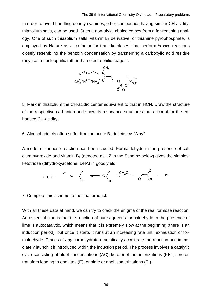In order to avoid handling deadly cyanides, other compounds having similar CH-acidity, thiazolium salts, can be used. Such a non-trivial choice comes from a far-reaching analogy. One of such thiazolium salts, vitamin  $B_1$  derivative, or thiamine pyrophosphate, is employed by Nature as a co-factor for trans-ketolases, that perform *in vivo* reactions closely resembling the benzoin condensation by transferring a carboxylic acid residue (acyl) as a nucleophilic rather than electrophilic reagent.



5. Mark in thiazolium the CH-acidic center equivalent to that in HCN. Draw the structure of the respective carbanion and show its resonance structures that account for the enhanced CH-acidity.

6. Alcohol addicts often suffer from an acute  $B_1$  deficiency. Why?

A model of formose reaction has been studied. Formaldehyde in the presence of calcium hydroxide and vitamin  $B_1$  (denoted as HZ in the Scheme below) gives the simplest ketotriose (dihydroxyacetone, DHA) in good yield.



7. Complete this scheme to the final product.

With all these data at hand, we can try to crack the enigma of the real formose reaction. An essential clue is that the reaction of pure aqueous formaldehyde in the presence of lime is autocatalytic, which means that it is extremely slow at the beginning (there is an induction period), but once it starts it runs at an increasing rate until exhaustion of formaldehyde. Traces of *any* carbohydrate dramatically accelerate the reaction and immediately launch it if introduced within the induction period. The process involves a catalytic cycle consisting of aldol condensations (AC), keto-enol tautomerizations (KET), proton transfers leading to enolates (E), enolate or enol isomerizations (EI).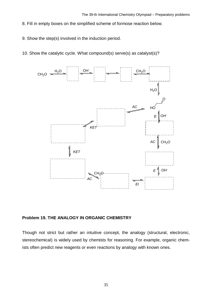- 8. Fill in empty boxes on the simplified scheme of formose reaction below.
- 9. Show the step(s) involved in the induction period.
- 10. Show the catalytic cycle. What compound(s) serve(s) as catalyst(s)?



#### <span id="page-34-0"></span>**Problem 19. THE ANALOGY IN ORGANIC CHEMISTRY**

Though not strict but rather an intuitive concept, the analogy (structural, electronic, stereochemical) is widely used by chemists for reasoning. For example, organic chemists often predict new reagents or even reactions by analogy with known ones.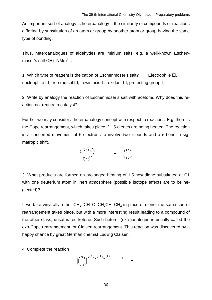An important sort of analogy is heteroanalogy – the similarity of compounds or reactions differing by substitution of an atom or group by another atom or group having the same type of bonding.

Thus, heteroanalogues of aldehydes are iminium salts, e.g. a well-known Eschenmoser's salt  $CH_2=NMe_2^+I^-$ .

1. Which type of reagent is the cation of Eschenmoser's salt? Electrophile  $\Box$ , nucleophile  $\Box$ , free radical  $\Box$ , Lewis acid  $\Box$ , oxidant  $\Box$ , protecting group  $\Box$ 

2. Write by analogy the reaction of Eschenmoser's salt with acetone. Why does this reaction not require a catalyst?

Further we may consider a heteroanalogy concept with respect to reactions. E.g. there is the Cope rearrangement, which takes place if 1,5-dienes are being heated. The reaction is a concerted movement of 6 electrons to involve two  $\pi$ -bonds and a  $\sigma$ -bond, a sigmatropic shift.



3. What products are formed on prolonged heating of 1,5-hexadiene substituted at C1 with one deuterium atom in inert atmosphere (possible isotope effects are to be neglected)?

If we take vinyl allyl ether  $CH_2=CH-O-CH_2CH=CH_2$  in place of diene, the same sort of rearrangement takes place, but with a more interesting result leading to a compound of the other class, unsaturated ketone. Such hetero- (oxa-)analogue is usually called the oxo-Cope rearrangement, or Claisen rearrangement. This reaction was discovered by a happy chance by great German chemist Ludwig Claisen.

4. Complete the reaction

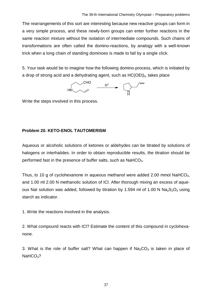The rearrangements of this sort are interesting because new reactive groups can form in a very simple process, and these newly-born groups can enter further reactions in the same reaction mixture without the isolation of intermediate compounds. Such chains of transformations are often called the domino-reactions, by analogy with a well-known trick when a long chain of standing dominoes is made to fall by a single click.

5. Your task would be to imagine how the following domino-process, which is initiated by a drop of strong acid and a dehydrating agent, such as  $HC(OEt)_{3}$ , takes place

HN CHO H<sup>+</sup> N H

Write the steps involved in this process.

#### <span id="page-36-0"></span>**Problem 20. KETO-ENOL TAUTOMERISM**

Aqueous or alcoholic solutions of ketones or aldehydes can be titrated by solutions of halogens or interhalides. In order to obtain reproducible results, the titration should be performed fast in the presence of buffer salts, such as  $N$ aHCO<sub>3</sub>.

Thus, to 10 g of cyclohexanone in aqueous methanol were added 2.00 mmol NaHCO<sub>3</sub>. and 1.00 ml 2.00 N methanolic solution of ICl. After thorough mixing an excess of aqueous NaI solution was added, followed by titration by 1.594 ml of 1.00 N  $Na<sub>2</sub>S<sub>2</sub>O<sub>3</sub>$  using starch as indicator.

1. Write the reactions involved in the analysis.

2. What compound reacts with ICl? Estimate the content of this compound in cyclohexanone.

3. What is the role of buffer salt? What can happen if  $Na<sub>2</sub>CO<sub>3</sub>$  is taken in place of  $NAHCO<sub>3</sub>$ ?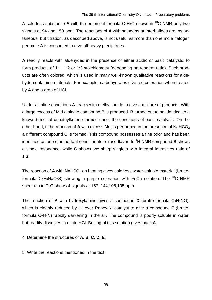A colorless substance **A** with the empirical formula  $C_2H_2O$  shows in <sup>13</sup>C NMR only two signals at 94 and 159 ppm. The reactions of **A** with halogens or interhalides are instantaneous, but titration, as described above, is not useful as more than one mole halogen per mole **A** is consumed to give off heavy precipitates.

**A** readily reacts with aldehydes in the presence of either acidic or basic catalysts, to form products of 1:1, 1:2 or 1:3 stoichiometry (depending on reagent ratio). Such products are often colored, which is used in many well-known qualitative reactions for aldehyde-containing materials. For example, carbohydrates give red coloration when treated by **A** and a drop of HCl.

Under alkaline conditions **A** reacts with methyl iodide to give a mixture of products. With a large excess of MeI a single compound **B** is produced. **B** turned out to be identical to a known trimer of dimethylketene formed under the conditions of basic catalysis. On the other hand, if the reaction of **A** with excess MeI is performed in the presence of NaHCO<sup>3</sup> a different compound **C** is formed. This compound possesses a fine odor and has been identified as one of important constituents of rose flavor. In <sup>1</sup>H NMR compound **B** shows a single resonance, while **C** shows two sharp singlets with integral intensities ratio of 1:3.

The reaction of **A** with NaHSO<sub>3</sub> on heating gives colorless water-soluble material (bruttoformula  $C_6H_5NaO_5S$ ) showing a purple coloration with FeCl<sub>3</sub> solution. The <sup>13</sup>C NMR spectrum in  $D_2O$  shows 4 signals at 157, 144, 106, 105 ppm.

The reaction of **A** with hydroxylamine gives a compound **D** (brutto-formula  $C_2H_3NO$ ), which is cleanly reduced by H<sub>2</sub> over Raney-Ni catalyst to give a compound **E** (bruttoformula  $C_2H_3N$ ) rapidly darkening in the air. The compound is poorly soluble in water, but readily dissolves in dilute HCl. Boiling of this solution gives back **A**.

4. Determine the structures of **A**, **B**, **C**, **D**, **E**.

5. Write the reactions mentioned in the text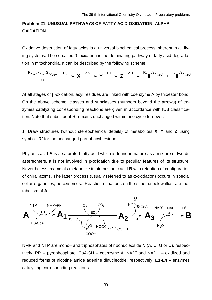# <span id="page-38-0"></span>**Problem 21. UNUSUAL PATHWAYS OF FATTY ACID OXIDATION: ALPHA-OXIDATION**

Oxidative destruction of fatty acids is a universal biochemical process inherent in all living systems. The so-called  $\beta$ -oxidation is the dominating pathway of fatty acid degradation in mitochondria. It can be described by the following scheme:

$$
R \longrightarrow \text{S}_{\text{COA}} \xrightarrow{1.3.} X \xrightarrow{4.2.} Y \xrightarrow{1.1.} Z \xrightarrow{2.3.} R \text{S}_{\text{COA}} + \text{S}_{\text{COA}}
$$

At all stages of  $\beta$ -oxidation, acyl residues are linked with coenzyme A by thioester bond. On the above scheme, classes and subclasses (numbers beyond the arrows) of enzymes catalyzing corresponding reactions are given in accordance with IUB classification. Note that substituent R remains unchanged within one cycle turnover.

1. Draw structures (without stereochemical details) of metabolites **X**, **Y** and **Z** using symbol "R" for the unchanged part of acyl residue.

Phytanic acid **A** is a saturated fatty acid which is found in nature as a mixture of two diastereomers. It is not involved in  $\beta$ -oxidation due to peculiar features of its structure. Nevertheless, mammals metabolize it into pristanic acid **B** with retention of configuration of chiral atoms. The latter process (usually referred to as α-oxidation) occurs in special cellar organelles, peroxisomes. Reaction equations on the scheme below illustrate metabolism of **A**:



NMP and NTP are mono– and triphosphates of ribonucleoside **N** (A, C, G or U), respectively,  $PP_i$  – pyrophosphate, CoA-SH – coenzyme A,  $NAD^+$  and  $NADH$  – oxidized and reduced forms of nicotine amide adenine dinucleotide, respectively, **E1**-**E4** – enzymes catalyzing corresponding reactions.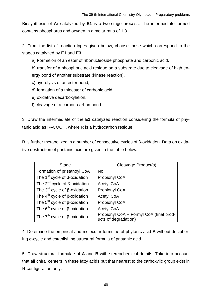Biosynthesis of **A1** catalyzed by **E1** is a two-stage process. The intermediate formed contains phosphorus and oxygen in a molar ratio of 1:8.

2. From the list of reaction types given below, choose those which correspond to the stages catalyzed by **E1** and **E3.**

a) Formation of an ester of ribonucleoside phosphate and carbonic acid,

b) transfer of a phosphoric acid residue on a substrate due to cleavage of high energy bond of another substrate (kinase reaction),

- c) hydrolysis of an ester bond,
- d) formation of a thioester of carbonic acid,
- e) oxidative decarboxylation,
- f) cleavage of a carbon-carbon bond.

3. Draw the intermediate of the **E1** catalyzed reaction considering the formula of phytanic acid as R-COOH, where R is a hydrocarbon residue.

**B** is further metabolized in a number of consecutive cycles of β-oxidation. Data on oxidative destruction of pristanic acid are given in the table below.

| <b>Stage</b>                                    | Cleavage Product(s)                                             |
|-------------------------------------------------|-----------------------------------------------------------------|
| Formation of pristanoyl CoA                     | <b>No</b>                                                       |
| The 1 <sup>st</sup> cycle of $\beta$ -oxidation | <b>Propionyl CoA</b>                                            |
| The $2^{nd}$ cycle of $\beta$ -oxidation        | <b>Acetyl CoA</b>                                               |
| The 3 <sup>rd</sup> cycle of $\beta$ -oxidation | Propionyl CoA                                                   |
| The $4^{th}$ cycle of $\beta$ -oxidation        | <b>Acetyl CoA</b>                                               |
| The $5^{th}$ cycle of $\beta$ -oxidation        | Propionyl CoA                                                   |
| The $6^{th}$ cycle of $\beta$ -oxidation        | <b>Acetyl CoA</b>                                               |
| The $7th$ cycle of $\beta$ -oxidation           | Propionyl CoA + Formyl CoA (final prod-<br>ucts of degradation) |

4. Determine the empirical and molecular formulae of phytanic acid **A** without deciphering α-cycle and establishing structural formula of pristanic acid.

5. Draw structural formulae of **A** and **B** with stereochemical details. Take into account that all chiral centers in these fatty acids but that nearest to the carboxylic group exist in R-configuration only.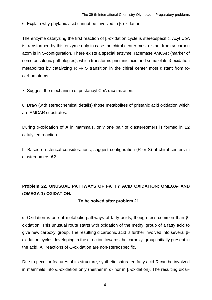6. Explain why phytanic acid cannot be involved in β-oxidation.

The enzyme catalyzing the first reaction of β-oxidation cycle is stereospecific. Acyl CoA is transformed by this enzyme only in case the chiral center most distant from ω-carbon atom is in S-configuration. There exists a special enzyme, racemase AMCAR (marker of some oncologic pathologies), which transforms pristanic acid and some of its β-oxidation metabolites by catalyzing  $R \rightarrow S$  transition in the chiral center most distant from  $\omega$ carbon atoms.

7. Suggest the mechanism of pristanoyl CoA racemization.

8. Draw (with stereochemical details) those metabolites of pristanic acid oxidation which are AMCAR substrates.

During α-oxidation of **A** in mammals, only one pair of diastereomers is formed in **E2** catalyzed reaction.

9. Based on sterical considerations, suggest configuration (R or S) of chiral centers in diastereomers **A2**.

# <span id="page-40-0"></span>**Problem 22. UNUSUAL PATHWAYS OF FATTY ACID OXIDATION: OMEGA- AND (OMEGA-1)-OXIDATION.**

#### **To be solved after problem 21**

ω-Oxidation is one of metabolic pathways of fatty acids, though less common than βoxidation. This unusual route starts with oxidation of the methyl group of a fatty acid to give new carboxyl group. The resulting dicarbonic acid is further involved into several βoxidation cycles developing in the direction towards the carboxyl group initially present in the acid. All reactions of ω-oxidation are non-stereospecific.

Due to peculiar features of its structure, synthetic saturated fatty acid **D** can be involved in mammals into ω-oxidation only (neither in α- nor in β-oxidation). The resulting dicar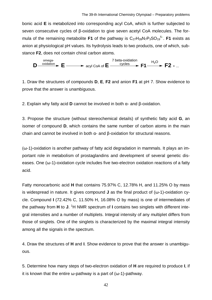bonic acid **E** is metabolized into corresponding acyl CoA, which is further subjected to seven consecutive cycles of β-oxidation to give seven acetyl CoA molecules. The formula of the remaining metabolite **F1** of the pathway is  $C_{27}H_{39}N_7P_3SO_{19}^{5-}$ . **F1** exists as anion at physiological pH values. Its hydrolysis leads to two products, one of which, substance **F2**, does not contain chiral carbon atoms.



1. Draw the structures of compounds **D**, **E**, **F2** and anion **F1** at pH 7. Show evidence to prove that the answer is unambiguous.

2. Explain why fatty acid **D** cannot be involved in both α- and β-oxidation.

3. Propose the structure (without stereochemical details) of synthetic fatty acid **G**, an isomer of compound **D**, which contains the same number of carbon atoms in the main chain and cannot be involved in both α- and β-oxidation for structural reasons.

(ω-1)-oxidation is another pathway of fatty acid degradation in mammals. It plays an important role in metabolism of prostaglandins and development of several genetic diseases. One (ω-1)-oxidation cycle includes five two-electron oxidation reactions of a fatty acid.

Fatty monocarbonic acid **H** that contains 75.97% C, 12.78% H, and 11.25% O by mass is widespread in nature. It gives compound **J** as the final product of (ω-1)-oxidation cycle. Compound **I** (72.42% C, 11.50% H, 16.08% O by mass) is one of intermediates of the pathway from **H** to **J**. <sup>1</sup>H NMR spectrum of **I** contains two singlets with different integral intensities and a number of multiplets. Integral intensity of any multiplet differs from those of singlets. One of the singlets is characterized by the maximal integral intensity among all the signals in the spectrum.

4. Draw the structures of **H** and **I**. Show evidence to prove that the answer is unambiguous.

5. Determine how many steps of two-electron oxidation of **H** are required to produce **I**, if it is known that the entire  $\omega$ -pathway is a part of ( $\omega$ -1)-pathway.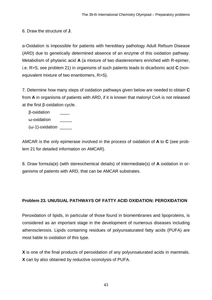6. Draw the structure of **J**.

α-Oxidation is impossible for patients with hereditary pathology Adult Refsum Disease (ARD) due to genetically determined absence of an enzyme of this oxidation pathway. Metabolism of phytanic acid **A** (a mixture of two diastereomers enriched with R-epimer, i.e. R>S, see problem 21) in organisms of such patients leads to dicarbonic acid **C** (nonequivalent mixture of two enantiomers, R>S).

7. Determine how many steps of oxidation pathways given below are needed to obtain **C** from **A** in organisms of patients with ARD, if it is known that malonyl CoA is not released at the first β-oxidation cycle.

β-oxidation \_\_\_\_ ω-oxidation (ω-1)-oxidation

AMCAR is the only epimerase involved in the process of oxidation of **A** to **C** (see problem 21 for detailed information on AMCAR).

8. Draw formula(e) (with stereochemical details) of intermediate(s) of **A** oxidation in organisms of patients with ARD, that can be AMCAR substrates.

#### <span id="page-42-0"></span>**Problem 23. UNUSUAL PATHWAYS OF FATTY ACID OXIDATION: PEROXIDATION**

Peroxidation of lipids, in particular of those found in biomembranes and lipoproteins, is considered as an important stage in the development of numerous diseases including atherosclerosis. Lipids containing residues of polyunsaturated fatty acids (PUFA) are most liable to oxidation of this type.

**X** is one of the final products of peroxidation of any polyunsaturated acids in mammals. **X** can by also obtained by reductive ozonolysis of PUFA.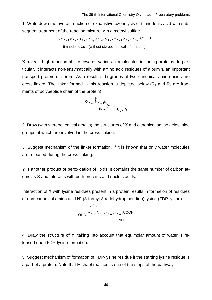1. Write down the overall reaction of exhaustive ozonolysis of timnodonic acid with subsequent treatment of the reaction mixture with dimethyl sulfide.



timnodonic acid (without stereochemical information)

**X** reveals high reaction ability towards various biomolecules including proteins. In particular, it interacts non-enzymatically with amino acid residues of albumin, an important transport protein of serum. As a result, side groups of two canonical amino acids are cross-linked. The linker formed in this reaction is depicted below ( $R_1$  and  $R_2$  are fragments of polypeptide chain of the protein):



2. Draw (with stereochemical details) the structures of **X** and canonical amino acids, side groups of which are involved in the cross-linking.

3. Suggest mechanism of the linker formation, if it is known that only water molecules are released during the cross-linking.

**Y** is another product of peroxidation of lipids. It contains the same number of carbon atoms as **X** and interacts with both proteins and nucleic acids.

Interaction of **Y** with lysine residues present in a protein results in formation of residues of non-canonical amino acid N<sup>ε</sup>-(3-formyl-3,4-dehydropiperidino) lysine (FDP-lysine):



4. Draw the structure of **Y**, taking into account that equimolar amount of water is released upon FDP-lysine formation.

5. Suggest mechanism of formation of FDP-lysine residue if the starting lysine residue is a part of a protein. Note that Michael reaction is one of the steps of the pathway.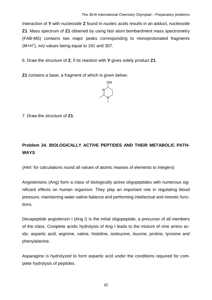Interaction of **Y** with nucleoside **Z** found in nucleic acids results in an adduct, nucleoside **Z1**. Mass spectrum of **Z1** obtained by using fast atom bombardment mass spectrometry (FAB-MS) contains two major peaks corresponding to monoprotonated fragments (M+H<sup>+</sup> ), *m*/*z* values being equal to 191 and 307.

6. Draw the structure of **Z**, if its reaction with **Y** gives solely product **Z1**.

**Z1** contains a base, a fragment of which is given below:



7. Draw the structure of **Z1**.

# <span id="page-44-0"></span>**Problem 24. BIOLOGICALLY ACTIVE PEPTIDES AND THEIR METABOLIC PATH-WAYS**

(*Hint*: for calculations round all values of atomic masses of elements to integers)

Angiotensins (Ang) form a class of biologically active oligopeptides with numerous significant effects on human organism. They play an important role in regulating blood pressure, maintaining water-saline balance and performing intellectual and mnestic functions.

Decapeptide angiotensin I (Ang I) is the initial oligopeptide, a precursor of all members of the class. Complete acidic hydrolysis of Ang I leads to the mixture of nine amino acids: aspartic acid, arginine, valine, histidine, isoleucine, leucine, proline, tyrosine and phenylalanine.

Asparagine is hydrolyzed to form aspartic acid under the conditions required for complete hydrolysis of peptides.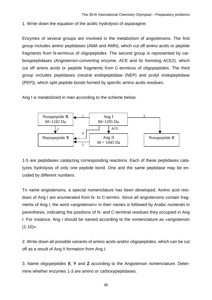1. Write down the equation of the acidic hydrolysis of asparagine.

Enzymes of several groups are involved in the metabolism of angiotensins. The first group includes amino peptidases (AMA and AMN), which cut off amino acids or peptide fragments from N-terminus of oligopeptides. The second group is represented by carboxypeptidases (Angiotensin-converting enzyme, ACE and its homolog ACE2), which cut off amino acids or peptide fragments from C-terminus of oligopeptides. The third group includes peptidases (neutral endopeptidase (NEP) and prolyl endopeptidase (PEP)), which split peptide bonds formed by specific amino acids residues.

Ang I is metabolized in man according to the scheme below:



1-5 are peptidases catalyzing corresponding reactions. Each of these peptidases catalyzes hydrolysis of only one peptide bond. One and the same peptidase may be encoded by different numbers.

To name angiotensins, a special nomenclature has been developed. Amino acid residues of Ang I are enumerated from N- to C-termini. Since all angiotensins contain fragments of Ang I, the word «angiotensin» in their names is followed by Arabic numerals in parenthesis, indicating the positions of N- and C-terminal residues they occupied in Ang I. For instance, Ang I should be named according to the nomenclature as «angiotensin  $(1-10)$ ».

2. Write down all possible variants of amino acids and/or oligopeptides, which can be cut off as a result of Ang II formation from Ang I.

3. Name oligopeptides **X**, **Y** and **Z** according to the Angiotensin nomenclature. Determine whether enzymes 1-3 are amino or carboxypeptidases.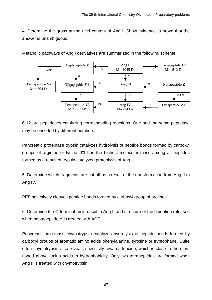4. Determine the gross amino acid content of Ang I. Show evidence to prove that the answer is unambiguous.



Metabolic pathways of Ang I derivatives are summarized in the following scheme:

6-12 are peptidases catalyzing corresponding reactions. One and the same peptidase may be encoded by different numbers.

Pancreatic proteinase trypsin catalyzes hydrolysis of peptide bonds formed by carboxyl groups of arginine or lysine. **Z1** has the highest molecular mass among all peptides formed as a result of trypsin catalyzed proteolysis of Ang I.

5. Determine which fragments are cut off as a result of the transformation from Ang II to Ang IV.

PEP selectively cleaves peptide bonds formed by carboxyl group of proline.

6. Determine the C-terminal amino acid in Ang II and structure of the dipeptide released when heptapeptide Y is treated with ACE.

Pancreatic proteinase chymotrypsin catalyzes hydrolysis of peptide bonds formed by carboxyl groups of aromatic amino acids phenylalanine, tyrosine or tryptophane. Quite often chymotrypsin also reveals specificity towards leucine, which is close to the mentioned above amino acids in hydrophobicity. Only two tetrapeptides are formed when Ang II is treated with chymotrypsin.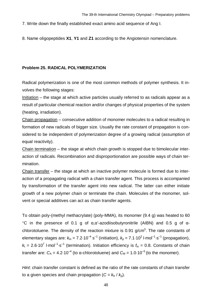7. Write down the finally established exact amino acid sequence of Ang I.

8. Name oligopeptides **X1**, **Y1** and **Z1** according to the Angiotensin nomenclature.

#### <span id="page-47-0"></span>**Problem 25. RADICAL POLYMERIZATION**

Radical polymerization is one of the most common methods of polymer synthesis. It involves the following stages:

Initiation – the stage at which active particles usually referred to as radicals appear as a result of particular chemical reaction and/or changes of physical properties of the system (heating, irradiation).

Chain propagation – consecutive addition of monomer molecules to a radical resulting in formation of new radicals of bigger size. Usually the rate constant of propagation is considered to be independent of polymerization degree of a growing radical (assumption of equal reactivity).

Chain termination – the stage at which chain growth is stopped due to bimolecular interaction of radicals. Recombination and disproportionation are possible ways of chain termination.

Chain transfer – the stage at which an inactive polymer molecule is formed due to interaction of a propagating radical with a chain transfer agent. This process is accompanied by transformation of the transfer agent into new radical. The latter can either initiate growth of a new polymer chain or terminate the chain. Molecules of the monomer, solvent or special additives can act as chain transfer agents.

To obtain poly-(methyl methacrylate) (poly-MMA), its monomer (9.4 g) was heated to 60  $°C$  in the presence of 0.1 g of  $α, α'$ -azodiisobutyronitrile (AIBN) and 0.5 g of  $α$ chlorotoluene. The density of the reaction mixture is 0.91 g/cm<sup>3</sup>. The rate constants of elementary stages are:  $k_{\text{in}} = 7.2 \cdot 10^{-4} \text{ s}^{-1}$  (initiation),  $k_{\text{p}} = 7.1 \cdot 10^{2}$  l $\cdot$ mol<sup>-1</sup> $\cdot$ s<sup>-1</sup> (propagation),  $k_t = 2.6.10^7$  l·mol<sup>-1</sup>·s<sup>-1</sup> (termination). Initiation efficiency is  $f_{in} = 0.8$ . Constants of chain transfer are:  $C_A = 4.2 \cdot 10^{-4}$  (to  $\alpha$ -chlorotoluene) and  $C_M = 1.0 \cdot 10^{-5}$  (to the monomer).

*Hint*: chain transfer constant is defined as the ratio of the rate constants of chain transfer to a given species and chain propagation  $(C = k<sub>tr</sub> / k<sub>o</sub>)$ .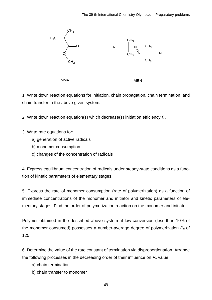

1. Write down reaction equations for initiation, chain propagation, chain termination, and chain transfer in the above given system.

2. Write down reaction equation(s) which decrease(s) initiation efficiency *f*in.

3. Write rate equations for:

- a) generation of active radicals
- b) monomer consumption
- c) changes of the concentration of radicals

4. Express equilibrium concentration of radicals under steady-state conditions as a function of kinetic parameters of elementary stages.

5. Express the rate of monomer consumption (rate of polymerization) as a function of immediate concentrations of the monomer and initiator and kinetic parameters of elementary stages. Find the order of polymerization reaction on the monomer and initiator.

Polymer obtained in the described above system at low conversion (less than 10% of the monomer consumed) possesses a number-average degree of polymerization *Pn* of 125.

6. Determine the value of the rate constant of termination via disproportionation. Arrange the following processes in the decreasing order of their influence on *Pn* value.

- a) chain termination
- b) chain transfer to monomer

49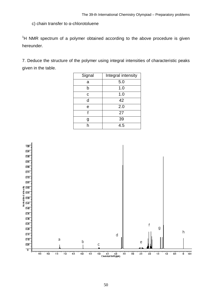c) chain transfer to α-chlorotoluene

 $1$ H NMR spectrum of a polymer obtained according to the above procedure is given hereunder.

7. Deduce the structure of the polymer using integral intensities of characteristic peaks given in the table.

| Signal | Integral intensity |  |
|--------|--------------------|--|
| а      | 5.0                |  |
| b      | 1.0                |  |
| C      | 1.0                |  |
| d      | 42                 |  |
| е      | 2.0                |  |
| f      | 27                 |  |
| g      | 39                 |  |
|        | 4.5                |  |

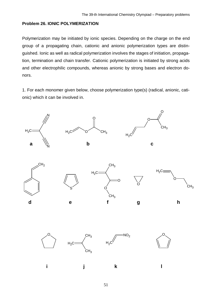#### **Problem 26. IONIC POLYMERIZATION**

Polymerization may be initiated by ionic species. Depending on the charge on the end group of a propagating chain, cationic and anionic polymerization types are distinguished. Ionic as well as radical polymerization involves the stages of initiation, propagation, termination and chain transfer. Cationic polymerization is initiated by strong acids and other electrophilic compounds, whereas anionic by strong bases and electron donors.

1. For each monomer given below, choose polymerization type(s) (radical, anionic, cationic) which it can be involved in.

<span id="page-50-0"></span>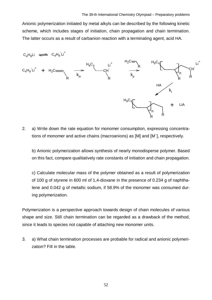Anionic polymerization initiated by metal alkyls can be described by the following kinetic scheme, which includes stages of initiation, chain propagation and chain termination. The latter occurs as a result of carbanion reaction with a terminating agent, acid HA.



2. a) Write down the rate equation for monomer consumption, expressing concentrations of monomer and active chains (macroanions) as [M] and [M– ], respectively.

b) Anionic polymerization allows synthesis of nearly monodisperse polymer. Based on this fact, compare qualitatively rate constants of initiation and chain propagation.

c) Calculate molecular mass of the polymer obtained as a result of polymerization of 100 g of styrene in 600 ml of 1,4-dioxane in the presence of 0.234 g of naphthalene and 0.042 g of metallic sodium, if 58.9% of the monomer was consumed during polymerization.

Polymerization is a perspective approach towards design of chain molecules of various shape and size. Still chain termination can be regarded as a drawback of the method, since it leads to species not capable of attaching new monomer units.

3. a) What chain termination processes are probable for radical and anionic polymerization? Fill in the table.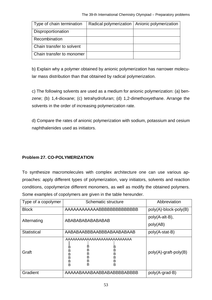| Type of chain termination | Radical polymerization   Anionic polymerization |
|---------------------------|-------------------------------------------------|
| Disproportionation        |                                                 |
| Recombination             |                                                 |
| Chain transfer to solvent |                                                 |
| Chain transfer to monomer |                                                 |

b) Explain why a polymer obtained by anionic polymerization has narrower molecular mass distribution than that obtained by radical polymerization.

c) The following solvents are used as a medium for anionic polymerization: (a) benzene; (b) 1,4-dioxane; (c) tetrahydrofuran; (d) 1,2-dimethoxyethane. Arrange the solvents in the order of increasing polymerization rate.

d) Compare the rates of anionic polymerization with sodium, potassium and cesium naphthalenides used as initiators.

### <span id="page-52-0"></span>**Problem 27. CO-POLYMERIZATION**

To synthesize macromolecules with complex architecture one can use various approaches: apply different types of polymerization, vary initiators, solvents and reaction conditions, copolymerize different monomers, as well as modify the obtained polymers. Some examples of copolymers are given in the table hereunder.

| Type of a copolymer | Schematic structure                                                     | Abbreviation                |
|---------------------|-------------------------------------------------------------------------|-----------------------------|
|                     |                                                                         |                             |
| <b>Block</b>        | AAAAAAAAAAAABBBBBBBBBBBBBBB                                             | poly(A)-block-poly(B)       |
| Alternating         | ABABABABABABABAB                                                        | poly(A-alt-B),<br>poly(AB)  |
| <b>Statistical</b>  | AABABAABBBAABBBAABABAABAAB                                              | poly(A-stat-B)              |
| Graft               | B<br>B<br>В<br>В<br>Β<br>B<br>B<br>B<br>в<br>В<br>B<br>B<br>в<br>B<br>B | $poly(A)$ -graft-poly $(B)$ |
| Gradient            | AAAAABAAABAABBABABBBBABBBB                                              | poly(A-grad-B)              |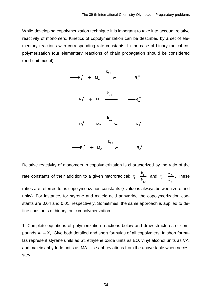While developing copolymerization technique it is important to take into account relative reactivity of monomers. Kinetics of copolymerization can be described by a set of elementary reactions with corresponding rate constants. In the case of binary radical copolymerization four elementary reactions of chain propagation should be considered (end-unit model):



Relative reactivity of monomers in copolymerization is characterized by the ratio of the rate constants of their addition to a given macroradical:  $r_1 = \frac{n_{11}}{l_1}$ 12 *k r k*  $=\frac{k_{11}}{l}$ , and  $r_2 = \frac{k_{22}}{l}$ 21 *k r k*  $=\frac{\kappa_{22}}{1}$ . These

ratios are referred to as copolymerization constants (*r* value is always between zero and unity). For instance, for styrene and maleic acid anhydride the copolymerization constants are 0.04 and 0.01, respectively. Sometimes, the same approach is applied to define constants of binary ionic copolymerization.

1. Complete equations of polymerization reactions below and draw structures of compounds  $X_1 - X_7$ . Give both detailed and short formulas of all copolymers. In short formulas represent styrene units as St, ethylene oxide units as EO, vinyl alcohol units as VA, and maleic anhydride units as MA. Use abbreviations from the above table when necessary.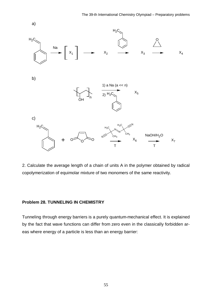

2. Calculate the average length of a chain of units A in the polymer obtained by radical copolymerization of equimolar mixture of two monomers of the same reactivity.

#### <span id="page-54-0"></span>**Problem 28. TUNNELING IN CHEMISTRY**

Tunneling through energy barriers is a purely quantum-mechanical effect. It is explained by the fact that wave functions can differ from zero even in the classically forbidden areas where energy of a particle is less than an energy barrier: